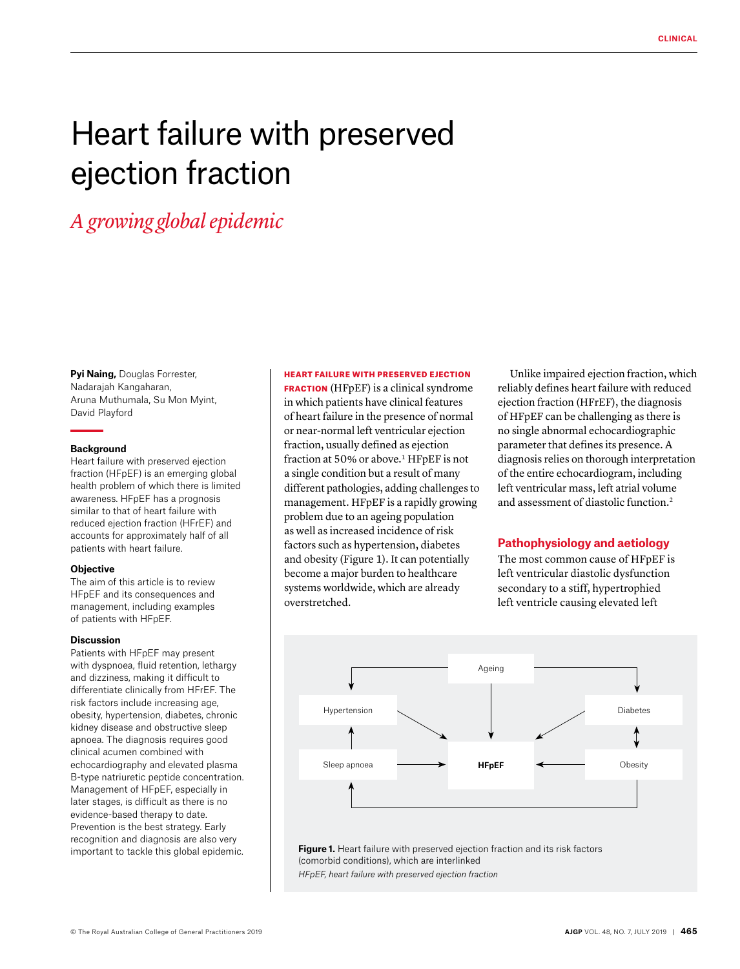# Heart failure with preserved ejection fraction

# *A growing global epidemic*

**Pyi Naing,** Douglas Forrester, Nadarajah Kangaharan, Aruna Muthumala, Su Mon Myint, David Playford

#### **Background**

Heart failure with preserved ejection fraction (HFpEF) is an emerging global health problem of which there is limited awareness. HFpEF has a prognosis similar to that of heart failure with reduced ejection fraction (HFrEF) and accounts for approximately half of all patients with heart failure.

#### **Objective**

The aim of this article is to review HFpEF and its consequences and management, including examples of patients with HFpEF.

#### **Discussion**

Patients with HFpEF may present with dyspnoea, fluid retention, lethargy and dizziness, making it difficult to differentiate clinically from HFrEF. The risk factors include increasing age, obesity, hypertension, diabetes, chronic kidney disease and obstructive sleep apnoea. The diagnosis requires good clinical acumen combined with echocardiography and elevated plasma B-type natriuretic peptide concentration. Management of HFpEF, especially in later stages, is difficult as there is no evidence-based therapy to date. Prevention is the best strategy. Early recognition and diagnosis are also very important to tackle this global epidemic.

#### HEART FAILURE WITH PRESERVED EJECTION

FRACTION (HFpEF) is a clinical syndrome in which patients have clinical features of heart failure in the presence of normal or near-normal left ventricular ejection fraction, usually defined as ejection fraction at 50% or above.<sup>1</sup> HFpEF is not a single condition but a result of many different pathologies, adding challenges to management. HFpEF is a rapidly growing problem due to an ageing population as well as increased incidence of risk factors such as hypertension, diabetes and obesity (Figure 1). It can potentially become a major burden to healthcare systems worldwide, which are already overstretched.

Unlike impaired ejection fraction, which reliably defines heart failure with reduced ejection fraction (HFrEF), the diagnosis of HFpEF can be challenging as there is no single abnormal echocardiographic parameter that defines its presence. A diagnosis relies on thorough interpretation of the entire echocardiogram, including left ventricular mass, left atrial volume and assessment of diastolic function.2

#### **Pathophysiology and aetiology**

The most common cause of HFpEF is left ventricular diastolic dysfunction secondary to a stiff, hypertrophied left ventricle causing elevated left



**Figure 1.** Heart failure with preserved ejection fraction and its risk factors (comorbid conditions), which are interlinked *HFpEF, heart failure with preserved ejection fraction*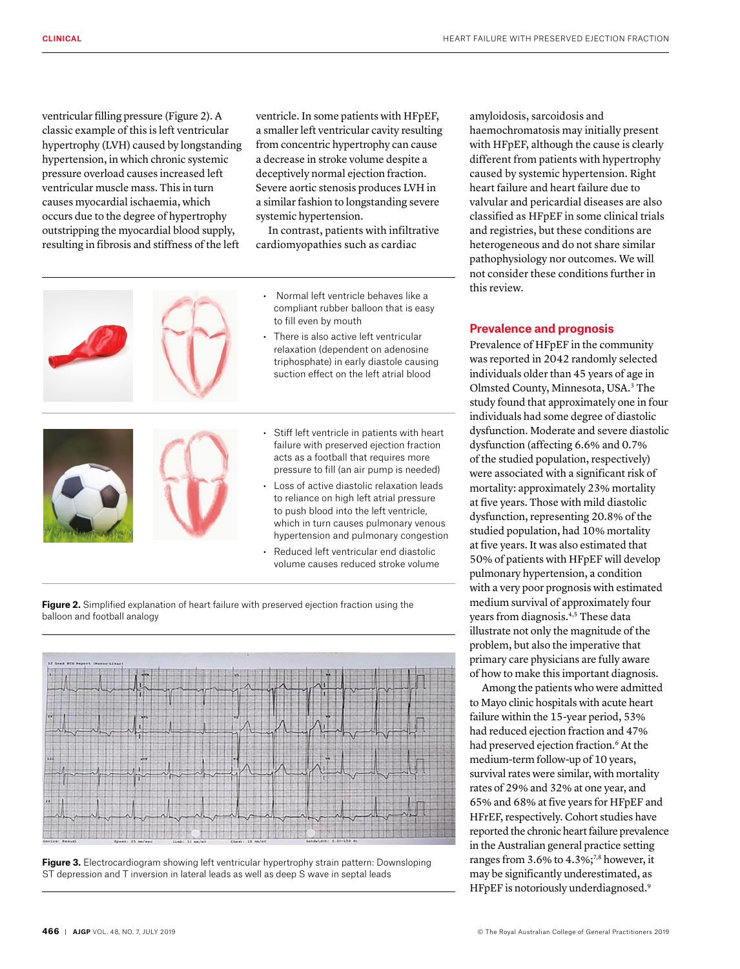ventricular filling pressure (Figure 2). A classic example of this is left ventricular hypertrophy (LVH) caused by longstanding hypertension, in which chronic systemic pressure overload causes increased left ventricular muscle mass. This in turn causes myocardial ischaemia, which occurs due to the degree of hypertrophy outstripping the myocardial blood supply, resulting in fibrosis and stiffness of the left

ventricle. In some patients with HFpEF, a smaller left ventricular cavity resulting from concentric hypertrophy can cause a decrease in stroke volume despite a deceptively normal ejection fraction. Severe aortic stenosis produces LVH in a similar fashion to longstanding severe systemic hypertension.

In contrast, patients with infiltrative cardiomyopathies such as cardiac

- Normal left ventricle behaves like a compliant rubber balloon that is easy to fill even by mouth  $\cdot$  There is also active left ventricular relaxation (dependent on adenosine triphosphate) in early diastole causing suction effect on the left atrial blood • Stiff left ventricle in patients with heart of the centricity in patients with heart randic which preserved ejection matrix acts as a football that requires more pressure to fill (an air pump is needed) .<br>• Loss of active diastolic relaxation leads • Ebst of active diastolic relaxation lead to push blood into the left ventricle,  $\mathbb{R}^n$  and  $\mathbb{R}^n$  using the balloon and football and football and football analogy  $\mathbb{R}^n$ 
	- which in turn causes pulmonary venous hypertension and pulmonary congestion
- Reduced left ventricular end diastolic volume causes reduced stroke volume  $\Gamma$

**Figure 2.** Simplified explanation of heart failure with preserved ejection fraction using the balloon and football analogy



**Figure 3.** Electrocardiogram showing left ventricular hypertrophy strain pattern: Downsloping ST depression and T inversion in lateral leads as well as deep S wave in septal leads

amyloidosis, sarcoidosis and haemochromatosis may initially present with HFpEF, although the cause is clearly different from patients with hypertrophy caused by systemic hypertension. Right heart failure and heart failure due to valvular and pericardial diseases are also classified as HFpEF in some clinical trials and registries, but these conditions are heterogeneous and do not share similar pathophysiology nor outcomes. We will not consider these conditions further in this review.

# **Prevalence and prognosis**

Prevalence of HFpEF in the community was reported in 2042 randomly selected individuals older than 45 years of age in Olmsted County, Minnesota, USA.3 The study found that approximately one in four individuals had some degree of diastolic dysfunction. Moderate and severe diastolic dysfunction (affecting 6.6% and 0.7% of the studied population, respectively) were associated with a significant risk of mortality: approximately 23% mortality at five years. Those with mild diastolic dysfunction, representing 20.8% of the studied population, had 10% mortality at five years. It was also estimated that 50% of patients with HFpEF will develop pulmonary hypertension, a condition with a very poor prognosis with estimated medium survival of approximately four years from diagnosis.4,5 These data illustrate not only the magnitude of the problem, but also the imperative that primary care physicians are fully aware of how to make this important diagnosis.

Among the patients who were admitted to Mayo clinic hospitals with acute heart failure within the 15-year period, 53% had reduced ejection fraction and 47% had preserved ejection fraction.<sup>6</sup> At the medium-term follow-up of 10 years, survival rates were similar, with mortality rates of 29% and 32% at one year, and 65% and 68% at five years for HFpEF and HFrEF, respectively. Cohort studies have reported the chronic heart failure prevalence in the Australian general practice setting ranges from 3.6% to 4.3%;<sup>7,8</sup> however, it may be significantly underestimated, as HFpEF is notoriously underdiagnosed.<sup>9</sup>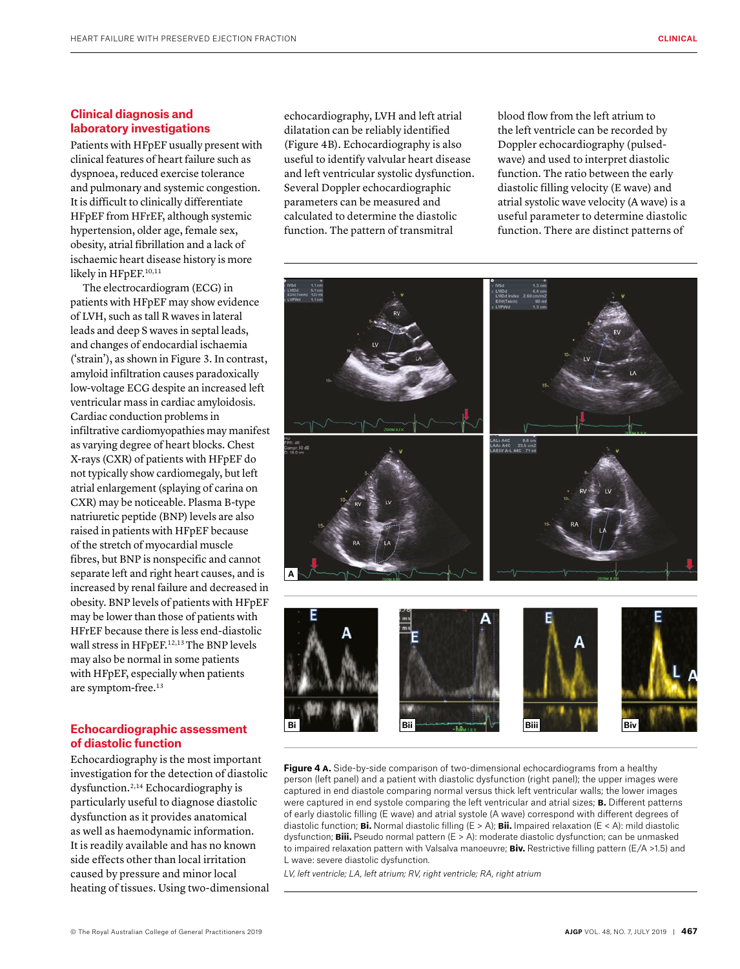#### **Clinical diagnosis and laboratory investigations**

Patients with HFpEF usually present with clinical features of heart failure such as dyspnoea, reduced exercise tolerance and pulmonary and systemic congestion. It is difficult to clinically differentiate HFpEF from HFrEF, although systemic hypertension, older age, female sex, obesity, atrial fibrillation and a lack of ischaemic heart disease history is more likely in HFpEF.<sup>10,11</sup>

The electrocardiogram (ECG) in patients with HFpEF may show evidence of LVH, such as tall R waves in lateral leads and deep S waves in septal leads, and changes of endocardial ischaemia ('strain'), as shown in Figure 3. In contrast, amyloid infiltration causes paradoxically low-voltage ECG despite an increased left ventricular mass in cardiac amyloidosis. Cardiac conduction problems in infiltrative cardiomyopathies may manifest as varying degree of heart blocks. Chest X-rays (CXR) of patients with HFpEF do not typically show cardiomegaly, but left atrial enlargement (splaying of carina on CXR) may be noticeable. Plasma B-type natriuretic peptide (BNP) levels are also raised in patients with HFpEF because of the stretch of myocardial muscle fibres, but BNP is nonspecific and cannot separate left and right heart causes, and is increased by renal failure and decreased in obesity. BNP levels of patients with HFpEF may be lower than those of patients with HFrEF because there is less end-diastolic wall stress in HFpEF.12,13 The BNP levels may also be normal in some patients with HFpEF, especially when patients are symptom-free.13

# **Echocardiographic assessment of diastolic function**

Echocardiography is the most important investigation for the detection of diastolic dysfunction.2,14 Echocardiography is particularly useful to diagnose diastolic dysfunction as it provides anatomical as well as haemodynamic information. It is readily available and has no known side effects other than local irritation caused by pressure and minor local heating of tissues. Using two-dimensional echocardiography, LVH and left atrial dilatation can be reliably identified (Figure 4B). Echocardiography is also useful to identify valvular heart disease and left ventricular systolic dysfunction. Several Doppler echocardiographic parameters can be measured and calculated to determine the diastolic function. The pattern of transmitral

blood flow from the left atrium to the left ventricle can be recorded by Doppler echocardiography (pulsedwave) and used to interpret diastolic function. The ratio between the early diastolic filling velocity (E wave) and atrial systolic wave velocity (A wave) is a useful parameter to determine diastolic function. There are distinct patterns of



gure 4 A. Side-by-side comparison of two-dimensional echocardiograms from a healthy iunction (right panel); the unner captured in end diastole comparing normal versus thick left ventricular walls; the lower images papern with Valsava comparing normal versus and the ventricular wans, the lower images were captured in end systole comparing the left ventricular and atrial sizes; **B.** Different patterns diastolic function; **Bi.** Normal diastolic filling  $(E > A)$ ; **Bii.** Impaired relaxation  $(E < A)$ : mild diastolic function; **Bi.** Normal diastolic filling  $(E > A)$ ; **Bii.** Impaired relaxation  $(E < A)$ : mild diastolic cion (nght panel), of early diastolic filling (E wave) and atrial systole (A wave) correspond with different degrees of  $\frac{1}{2}$ wave diastologie  $\mathsf n$  (right panel); the upper images dysfunction; **Biii.** Pseudo normal pattern (E > A): moderate diastolic dysfunction; can be unmasked rechocardiogram pa�ern (E/A>1.5 and L  $\cdot$  4 A. Side-by-side comparison of two-dimensional echocardiograms from a healthy adiocalulografiis<br>Constantin diast Figure 4 A. Side-by-side comparison of two-dimensional echocardiograms from a healthy a licality person (left panel) and a patient with diastolic dysfunction (right panel); the upper images were to impaired relaxation pattern with Valsalva manoeuvre; **biv.** Restrictive filling pattern (E/A >1.5) and L wave: severe diastolic dysfunction.

*LV, left ventricle; LA, left atrium; RV, right ventricle; RA, right atrium*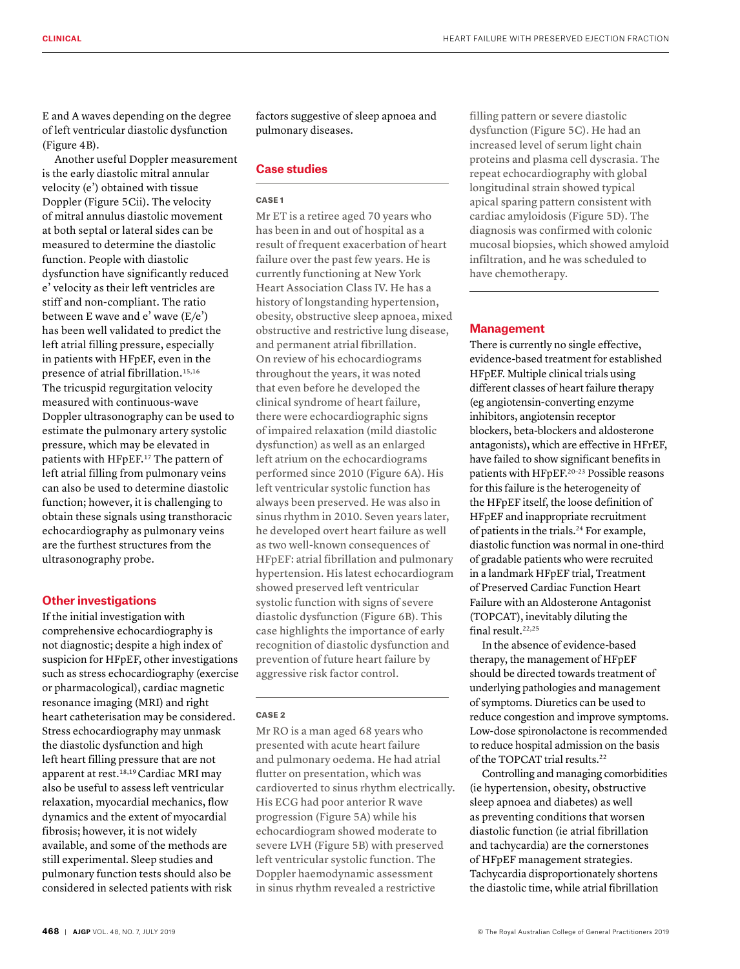E and A waves depending on the degree of left ventricular diastolic dysfunction (Figure 4B).

Another useful Doppler measurement is the early diastolic mitral annular velocity (e') obtained with tissue Doppler (Figure 5Cii). The velocity of mitral annulus diastolic movement at both septal or lateral sides can be measured to determine the diastolic function. People with diastolic dysfunction have significantly reduced e' velocity as their left ventricles are stiff and non-compliant. The ratio between E wave and e' wave (E/e') has been well validated to predict the left atrial filling pressure, especially in patients with HFpEF, even in the presence of atrial fibrillation.<sup>15,16</sup> The tricuspid regurgitation velocity measured with continuous-wave Doppler ultrasonography can be used to estimate the pulmonary artery systolic pressure, which may be elevated in patients with HFpEF.17 The pattern of left atrial filling from pulmonary veins can also be used to determine diastolic function; however, it is challenging to obtain these signals using transthoracic echocardiography as pulmonary veins are the furthest structures from the ultrasonography probe.

#### **Other investigations**

If the initial investigation with comprehensive echocardiography is not diagnostic; despite a high index of suspicion for HFpEF, other investigations such as stress echocardiography (exercise or pharmacological), cardiac magnetic resonance imaging (MRI) and right heart catheterisation may be considered. Stress echocardiography may unmask the diastolic dysfunction and high left heart filling pressure that are not apparent at rest.18,19 Cardiac MRI may also be useful to assess left ventricular relaxation, myocardial mechanics, flow dynamics and the extent of myocardial fibrosis; however, it is not widely available, and some of the methods are still experimental. Sleep studies and pulmonary function tests should also be considered in selected patients with risk

factors suggestive of sleep apnoea and pulmonary diseases.

# **Case studies**

#### CASE 1

Mr ET is a retiree aged 70 years who has been in and out of hospital as a result of frequent exacerbation of heart failure over the past few years. He is currently functioning at New York Heart Association Class IV. He has a history of longstanding hypertension, obesity, obstructive sleep apnoea, mixed obstructive and restrictive lung disease, and permanent atrial fibrillation. On review of his echocardiograms throughout the years, it was noted that even before he developed the clinical syndrome of heart failure, there were echocardiographic signs of impaired relaxation (mild diastolic dysfunction) as well as an enlarged left atrium on the echocardiograms performed since 2010 (Figure 6A). His left ventricular systolic function has always been preserved. He was also in sinus rhythm in 2010. Seven years later, he developed overt heart failure as well as two well-known consequences of HFpEF: atrial fibrillation and pulmonary hypertension. His latest echocardiogram showed preserved left ventricular systolic function with signs of severe diastolic dysfunction (Figure 6B). This case highlights the importance of early recognition of diastolic dysfunction and prevention of future heart failure by aggressive risk factor control.

#### CASE 2

Mr RO is a man aged 68 years who presented with acute heart failure and pulmonary oedema. He had atrial flutter on presentation, which was cardioverted to sinus rhythm electrically. His ECG had poor anterior R wave progression (Figure 5A) while his echocardiogram showed moderate to severe LVH (Figure 5B) with preserved left ventricular systolic function. The Doppler haemodynamic assessment in sinus rhythm revealed a restrictive

filling pattern or severe diastolic dysfunction (Figure 5C). He had an increased level of serum light chain proteins and plasma cell dyscrasia. The repeat echocardiography with global longitudinal strain showed typical apical sparing pattern consistent with cardiac amyloidosis (Figure 5D). The diagnosis was confirmed with colonic mucosal biopsies, which showed amyloid infiltration, and he was scheduled to have chemotherapy.

#### **Management**

There is currently no single effective, evidence-based treatment for established HFpEF. Multiple clinical trials using different classes of heart failure therapy (eg angiotensin-converting enzyme inhibitors, angiotensin receptor blockers, beta-blockers and aldosterone antagonists), which are effective in HFrEF, have failed to show significant benefits in patients with HFpEF.<sup>20-23</sup> Possible reasons for this failure is the heterogeneity of the HFpEF itself, the loose definition of HFpEF and inappropriate recruitment of patients in the trials.24 For example, diastolic function was normal in one-third of gradable patients who were recruited in a landmark HFpEF trial, Treatment of Preserved Cardiac Function Heart Failure with an Aldosterone Antagonist (TOPCAT), inevitably diluting the final result.<sup>22,25</sup>

In the absence of evidence-based therapy, the management of HFpEF should be directed towards treatment of underlying pathologies and management of symptoms. Diuretics can be used to reduce congestion and improve symptoms. Low-dose spironolactone is recommended to reduce hospital admission on the basis of the TOPCAT trial results.<sup>22</sup>

Controlling and managing comorbidities (ie hypertension, obesity, obstructive sleep apnoea and diabetes) as well as preventing conditions that worsen diastolic function (ie atrial fibrillation and tachycardia) are the cornerstones of HFpEF management strategies. Tachycardia disproportionately shortens the diastolic time, while atrial fibrillation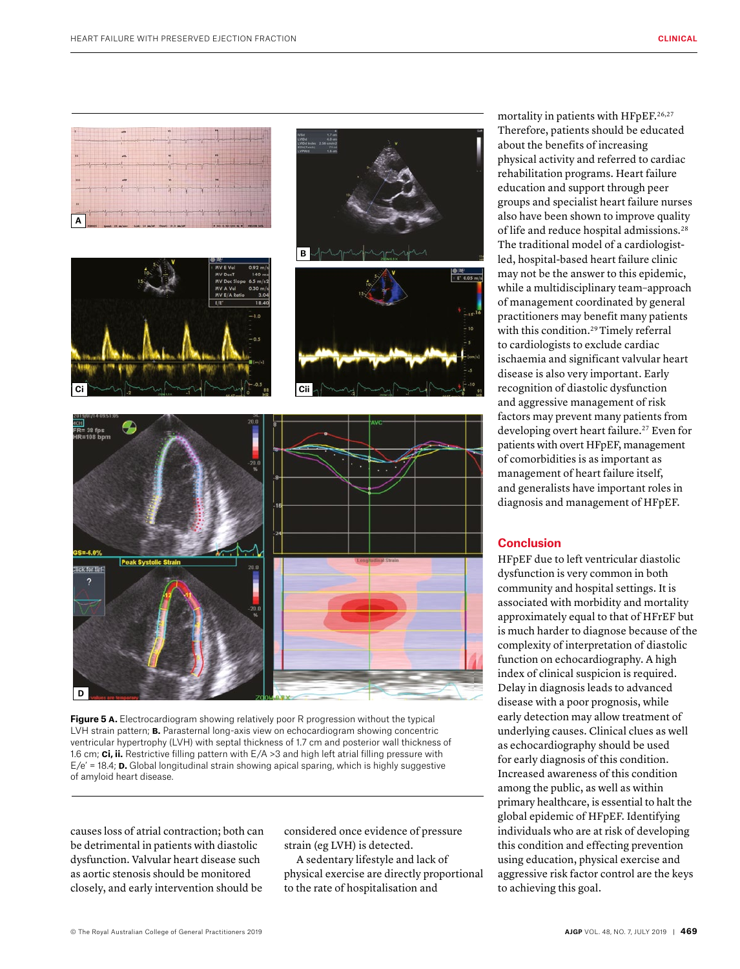of amyloid heart disease.



mortality in patients with HFpEF.<sup>26,27</sup> Therefore, patients should be educated about the benefits of increasing physical activity and referred to cardiac rehabilitation programs. Heart failure education and support through peer groups and specialist heart failure nurses also have been shown to improve quality of life and reduce hospital admissions.28 The traditional model of a cardiologistled, hospital-based heart failure clinic may not be the answer to this epidemic, while a multidisciplinary team–approach of management coordinated by general practitioners may benefit many patients with this condition.29 Timely referral to cardiologists to exclude cardiac ischaemia and significant valvular heart disease is also very important. Early recognition of diastolic dysfunction and aggressive management of risk factors may prevent many patients from developing overt heart failure.<sup>27</sup> Even for patients with overt HFpEF, management of comorbidities is as important as management of heart failure itself, and generalists have important roles in diagnosis and management of HFpEF.

# **Conclusion**

HFpEF due to left ventricular diastolic dysfunction is very common in both community and hospital settings. It is associated with morbidity and mortality approximately equal to that of HFrEF but is much harder to diagnose because of the complexity of interpretation of diastolic function on echocardiography. A high index of clinical suspicion is required. Delay in diagnosis leads to advanced disease with a poor prognosis, while early detection may allow treatment of underlying causes. Clinical clues as well as echocardiography should be used for early diagnosis of this condition. Increased awareness of this condition among the public, as well as within primary healthcare, is essential to halt the global epidemic of HFpEF. Identifying individuals who are at risk of developing this condition and effecting prevention using education, physical exercise and aggressive risk factor control are the keys to achieving this goal.

**AIGP** VOL 48 NO 7 ILILY 2019 | 469

Figure 5 A. Electrocardiogram showing relatively poor R progression without the typical LVH strain pattern; **b.** Parasternal long-axis view on echocardiogram showing concentric ventricular hypertrophy (LVH) with septal thickness of 1.7 cm and posterior wall thickness of 1.6 cm; **ci, ii.** Restrictive filling pattern with E/A >3 and high left atrial filling pressure with  $E/e' = 18.4$ ; **D.** Global longitudinal strain showing apical sparing, which is highly suggestive **D**

causes loss of atrial contraction; both can be detrimental in patients with diastolic dysfunction. Valvular heart disease such as aortic stenosis should be monitored closely, and early intervention should be

considered once evidence of pressure strain (eg LVH) is detected.

A sedentary lifestyle and lack of physical exercise are directly proportional to the rate of hospitalisation and

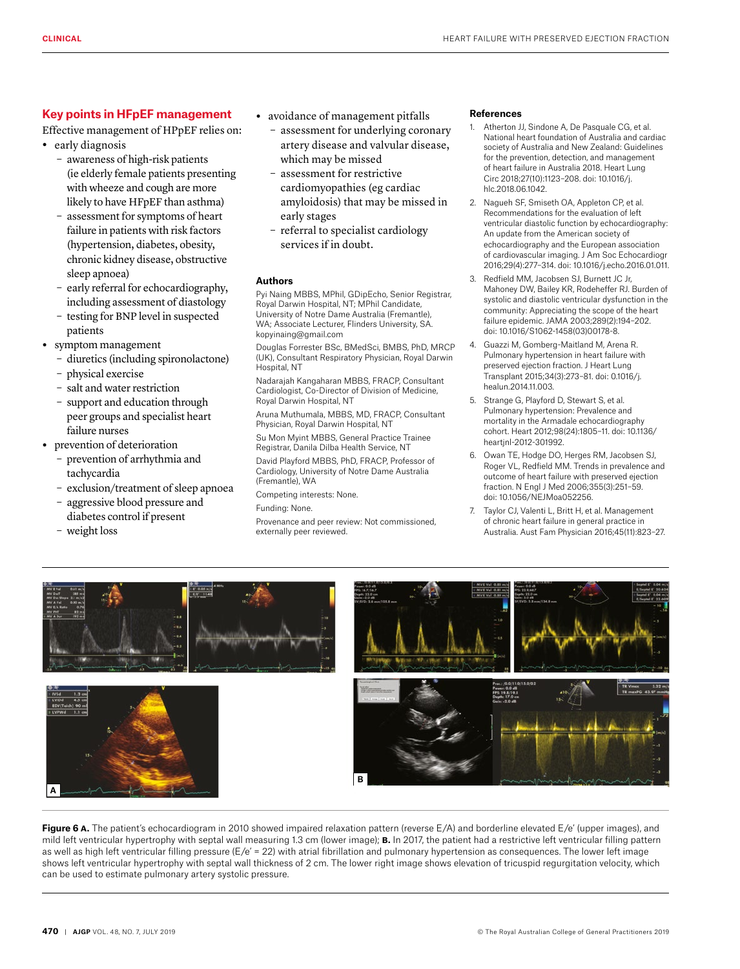# **Key points in HFpEF management**

Effective management of HPpEF relies on:

- **•** early diagnosis
	- awareness of high-risk patients (ie elderly female patients presenting with wheeze and cough are more likely to have HFpEF than asthma)
	- assessment for symptoms of heart failure in patients with risk factors (hypertension, diabetes, obesity, chronic kidney disease, obstructive sleep apnoea)
	- early referral for echocardiography, including assessment of diastology
	- testing for BNP level in suspected patients
- **•** symptom management
	- diuretics (including spironolactone)
	- physical exercise
	- salt and water restriction
	- support and education through peer groups and specialist heart failure nurses
- **•** prevention of deterioration
	- prevention of arrhythmia and tachycardia
	- exclusion/treatment of sleep apnoea
	- aggressive blood pressure and diabetes control if present
	- weight loss
- **•** avoidance of management pitfalls
	- assessment for underlying coronary artery disease and valvular disease, which may be missed
	- assessment for restrictive cardiomyopathies (eg cardiac amyloidosis) that may be missed in early stages
	- referral to specialist cardiology services if in doubt.

#### **Authors**

Pyi Naing MBBS, MPhil, GDipEcho, Senior Registrar, Royal Darwin Hospital, NT; MPhil Candidate, University of Notre Dame Australia (Fremantle), WA; Associate Lecturer, Flinders University, SA. kopyinaing@gmail.com

Douglas Forrester BSc, BMedSci, BMBS, PhD, MRCP (UK), Consultant Respiratory Physician, Royal Darwin Hospital, NT

Nadarajah Kangaharan MBBS, FRACP, Consultant Cardiologist, Co-Director of Division of Medicine, Royal Darwin Hospital, NT

Aruna Muthumala, MBBS, MD, FRACP, Consultant Physician, Royal Darwin Hospital, NT

Su Mon Myint MBBS, General Practice Trainee Registrar, Danila Dilba Health Service, NT

David Playford MBBS, PhD, FRACP, Professor of Cardiology, University of Notre Dame Australia (Fremantle), WA

Competing interests: None.

Funding: None.

Provenance and peer review: Not commissioned, externally peer reviewed.

#### **References**

- 1. Atherton JJ, Sindone A, De Pasquale CG, et al. National heart foundation of Australia and cardiac society of Australia and New Zealand: Guidelines for the prevention, detection, and management of heart failure in Australia 2018. Heart Lung Circ 2018;27(10):1123–208. doi: 10.1016/j. hlc.2018.06.1042.
- 2. Nagueh SF, Smiseth OA, Appleton CP, et al. Recommendations for the evaluation of left ventricular diastolic function by echocardiography: An update from the American society of echocardiography and the European association of cardiovascular imaging. J Am Soc Echocardiogr 2016;29(4):277–314. doi: 10.1016/j.echo.2016.01.011.
- 3. Redfield MM, Jacobsen SJ, Burnett JC Jr, Mahoney DW, Bailey KR, Rodeheffer RJ. Burden of systolic and diastolic ventricular dysfunction in the community: Appreciating the scope of the heart failure epidemic. JAMA 2003;289(2):194–202. doi: 10.1016/S1062-1458(03)00178-8.
- 4. Guazzi M, Gomberg-Maitland M, Arena R. Pulmonary hypertension in heart failure with preserved ejection fraction. J Heart Lung Transplant 2015;34(3):273–81. doi: 0.1016/j. healun.2014.11.003.
- 5. Strange G, Playford D, Stewart S, et al. Pulmonary hypertension: Prevalence and mortality in the Armadale echocardiography cohort. Heart 2012;98(24):1805–11. doi: 10.1136/ heartjnl-2012-301992.
- 6. Owan TE, Hodge DO, Herges RM, Jacobsen SJ, Roger VL, Redfield MM. Trends in prevalence and outcome of heart failure with preserved ejection fraction. N Engl J Med 2006;355(3):251–59. doi: 10.1056/NEJMoa052256.
- 7. Taylor CJ, Valenti L, Britt H, et al. Management of chronic heart failure in general practice in Australia. Aust Fam Physician 2016;45(11):823–27.



**Figure 6 a.** The patient's echocardiogram in 2010 showed impaired relaxation pattern (reverse E/A) and borderline elevated E/e' (upper images), and mild left ventricular hypertrophy with septal wall measuring 1.3 cm (lower image); **b.** In 2017, the patient had a restrictive left ventricular filling pattern as well as high left ventricular filling pressure (E/e' = 22) with atrial fibrillation and pulmonary hypertension as consequences. The lower left image shows left ventricular hypertrophy with septal wall thickness of 2 cm. The lower right image shows elevation of tricuspid regurgitation velocity, which can be used to estimate pulmonary artery systolic pressure.